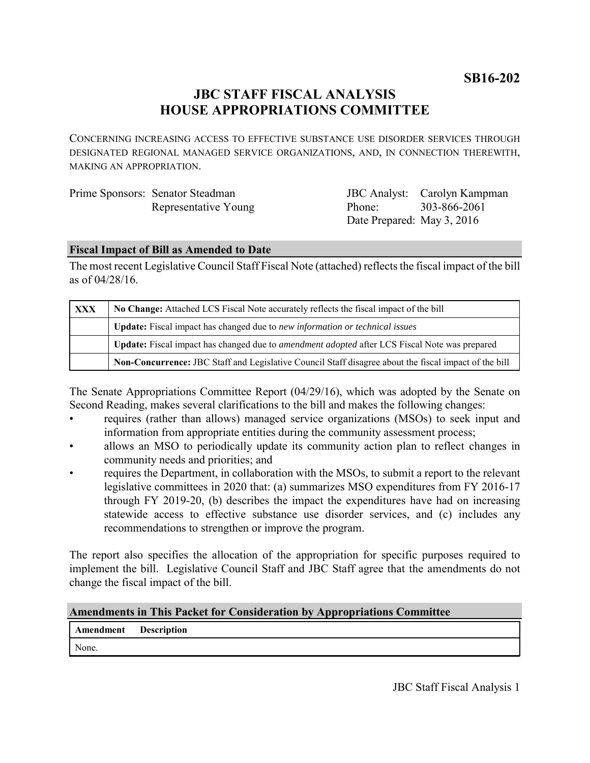**SB16-202**

# **JBC STAFF FISCAL ANALYSIS HOUSE APPROPRIATIONS COMMITTEE**

CONCERNING INCREASING ACCESS TO EFFECTIVE SUBSTANCE USE DISORDER SERVICES THROUGH DESIGNATED REGIONAL MANAGED SERVICE ORGANIZATIONS, AND, IN CONNECTION THEREWITH, MAKING AN APPROPRIATION.

| Prime Sponsors: Senator Steadman |  |  |
|----------------------------------|--|--|
| Representative Young             |  |  |

JBC Analyst: Carolyn Kampman Phone: Date Prepared: May 3, 2016 303-866-2061

# **Fiscal Impact of Bill as Amended to Date**

The most recent Legislative Council Staff Fiscal Note (attached) reflects the fiscal impact of the bill as of 04/28/16.

| <b>XXX</b> | No Change: Attached LCS Fiscal Note accurately reflects the fiscal impact of the bill                       |  |
|------------|-------------------------------------------------------------------------------------------------------------|--|
|            | Update: Fiscal impact has changed due to new information or technical issues                                |  |
|            | <b>Update:</b> Fiscal impact has changed due to <i>amendment adopted</i> after LCS Fiscal Note was prepared |  |
|            | Non-Concurrence: JBC Staff and Legislative Council Staff disagree about the fiscal impact of the bill       |  |

The Senate Appropriations Committee Report (04/29/16), which was adopted by the Senate on Second Reading, makes several clarifications to the bill and makes the following changes:

- requires (rather than allows) managed service organizations (MSOs) to seek input and information from appropriate entities during the community assessment process;
- allows an MSO to periodically update its community action plan to reflect changes in community needs and priorities; and
- requires the Department, in collaboration with the MSOs, to submit a report to the relevant legislative committees in 2020 that: (a) summarizes MSO expenditures from FY 2016-17 through FY 2019-20, (b) describes the impact the expenditures have had on increasing statewide access to effective substance use disorder services, and (c) includes any recommendations to strengthen or improve the program.

The report also specifies the allocation of the appropriation for specific purposes required to implement the bill. Legislative Council Staff and JBC Staff agree that the amendments do not change the fiscal impact of the bill.

| <b>Amendments in This Packet for Consideration by Appropriations Committee</b> |  |  |
|--------------------------------------------------------------------------------|--|--|
|--------------------------------------------------------------------------------|--|--|

| Amendment | <b>Description</b> |
|-----------|--------------------|
|-----------|--------------------|

None.